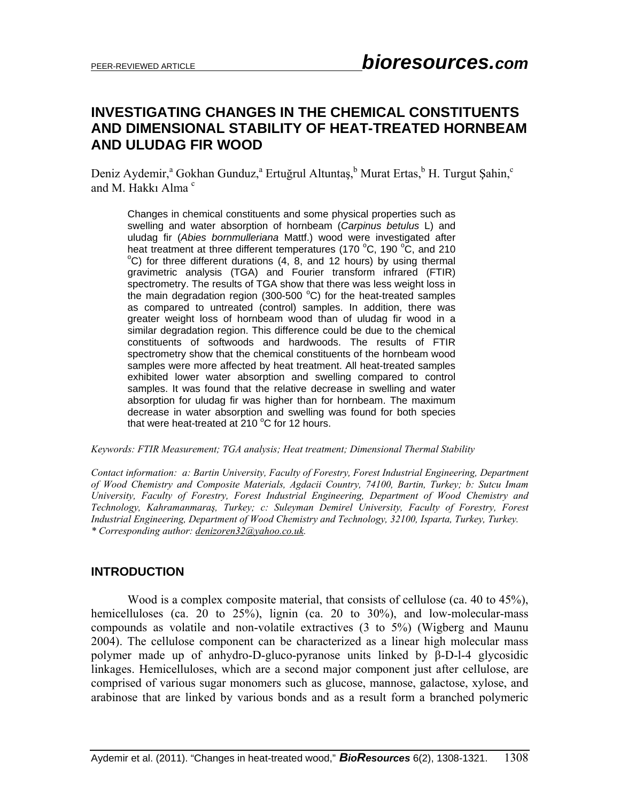# **INVESTIGATING CHANGES IN THE CHEMICAL CONSTITUENTS AND DIMENSIONAL STABILITY OF HEAT-TREATED HORNBEAM AND ULUDAG FIR WOOD**

Deniz Aydemir,<sup>a</sup> Gokhan Gunduz,<sup>a</sup> Ertuğrul Altuntaş,<sup>b</sup> Murat Ertas,<sup>b</sup> H. Turgut Şahin,<sup>c</sup> and M. Hakkı Alma $\degree$ 

Changes in chemical constituents and some physical properties such as swelling and water absorption of hornbeam (*Carpinus betulus* L) and uludag fir (*Abies bornmulleriana* Mattf.) wood were investigated after heat treatment at three different temperatures (170  $^{\circ}$ C, 190  $^{\circ}$ C, and 210  $^{\circ}$ C) for three different durations (4, 8, and 12, bours) by using thermal  $^{\circ}$ C) for three different durations (4, 8, and 12 hours) by using thermal gravimetric analysis (TGA) and Fourier transform infrared (FTIR) spectrometry. The results of TGA show that there was less weight loss in the main degradation region (300-500  $^{\circ}$ C) for the heat-treated samples as compared to untreated (control) samples. In addition, there was greater weight loss of hornbeam wood than of uludag fir wood in a similar degradation region. This difference could be due to the chemical constituents of softwoods and hardwoods. The results of FTIR spectrometry show that the chemical constituents of the hornbeam wood samples were more affected by heat treatment. All heat-treated samples exhibited lower water absorption and swelling compared to control samples. It was found that the relative decrease in swelling and water absorption for uludag fir was higher than for hornbeam. The maximum decrease in water absorption and swelling was found for both species that were heat-treated at  $210\,^{\circ}$ C for 12 hours.

*Keywords: FTIR Measurement; TGA analysis; Heat treatment; Dimensional Thermal Stability* 

*Contact information: a: Bartin University, Faculty of Forestry, Forest Industrial Engineering, Department of Wood Chemistry and Composite Materials, Agdacii Country, 74100, Bartin, Turkey; b: Sutcu Imam University, Faculty of Forestry, Forest Industrial Engineering, Department of Wood Chemistry and Technology, Kahramanmaraş, Turkey; c: Suleyman Demirel University, Faculty of Forestry, Forest Industrial Engineering, Department of Wood Chemistry and Technology, 32100, Isparta, Turkey, Turkey. \* Corresponding author: denizoren32@yahoo.co.uk.* 

# **INTRODUCTION**

Wood is a complex composite material, that consists of cellulose (ca. 40 to 45%), hemicelluloses (ca. 20 to 25%), lignin (ca. 20 to 30%), and low-molecular-mass compounds as volatile and non-volatile extractives (3 to 5%) (Wigberg and Maunu 2004). The cellulose component can be characterized as a linear high molecular mass polymer made up of anhydro-D-gluco-pyranose units linked by β-D-l-4 glycosidic linkages. Hemicelluloses, which are a second major component just after cellulose, are comprised of various sugar monomers such as glucose, mannose, galactose, xylose, and arabinose that are linked by various bonds and as a result form a branched polymeric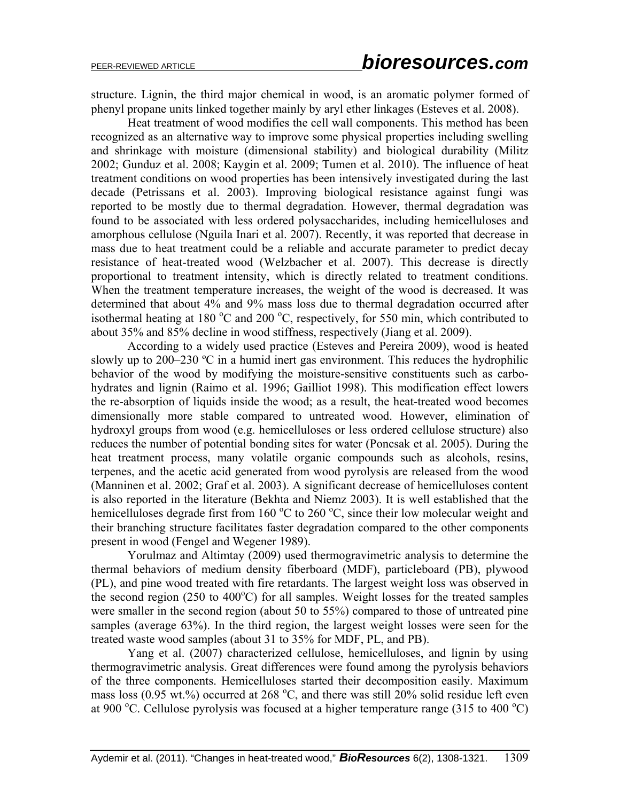structure. Lignin, the third major chemical in wood, is an aromatic polymer formed of phenyl propane units linked together mainly by aryl ether linkages (Esteves et al. 2008).

Heat treatment of wood modifies the cell wall components. This method has been recognized as an alternative way to improve some physical properties including swelling and shrinkage with moisture (dimensional stability) and biological durability (Militz 2002; Gunduz et al. 2008; Kaygin et al. 2009; Tumen et al. 2010). The influence of heat treatment conditions on wood properties has been intensively investigated during the last decade (Petrissans et al. 2003). Improving biological resistance against fungi was reported to be mostly due to thermal degradation. However, thermal degradation was found to be associated with less ordered polysaccharides, including hemicelluloses and amorphous cellulose (Nguila Inari et al. 2007). Recently, it was reported that decrease in mass due to heat treatment could be a reliable and accurate parameter to predict decay resistance of heat-treated wood (Welzbacher et al. 2007). This decrease is directly proportional to treatment intensity, which is directly related to treatment conditions. When the treatment temperature increases, the weight of the wood is decreased. It was determined that about 4% and 9% mass loss due to thermal degradation occurred after isothermal heating at 180  $\rm{^{\circ}C}$  and 200  $\rm{^{\circ}C}$ , respectively, for 550 min, which contributed to about 35% and 85% decline in wood stiffness, respectively (Jiang et al. 2009).

According to a widely used practice (Esteves and Pereira 2009), wood is heated slowly up to  $200-230$  °C in a humid inert gas environment. This reduces the hydrophilic behavior of the wood by modifying the moisture-sensitive constituents such as carbohydrates and lignin (Raimo et al. 1996; Gailliot 1998). This modification effect lowers the re-absorption of liquids inside the wood; as a result, the heat-treated wood becomes dimensionally more stable compared to untreated wood. However, elimination of hydroxyl groups from wood (e.g. hemicelluloses or less ordered cellulose structure) also reduces the number of potential bonding sites for water (Poncsak et al. 2005). During the heat treatment process, many volatile organic compounds such as alcohols, resins, terpenes, and the acetic acid generated from wood pyrolysis are released from the wood (Manninen et al. 2002; Graf et al. 2003). A significant decrease of hemicelluloses content is also reported in the literature (Bekhta and Niemz 2003). It is well established that the hemicelluloses degrade first from 160 °C to 260 °C, since their low molecular weight and their branching structure facilitates faster degradation compared to the other components present in wood (Fengel and Wegener 1989).

Yorulmaz and Altimtay (2009) used thermogravimetric analysis to determine the thermal behaviors of medium density fiberboard (MDF), particleboard (PB), plywood (PL), and pine wood treated with fire retardants. The largest weight loss was observed in the second region (250 to  $400^{\circ}$ C) for all samples. Weight losses for the treated samples were smaller in the second region (about 50 to 55%) compared to those of untreated pine samples (average 63%). In the third region, the largest weight losses were seen for the treated waste wood samples (about 31 to 35% for MDF, PL, and PB).

Yang et al. (2007) characterized cellulose, hemicelluloses, and lignin by using thermogravimetric analysis. Great differences were found among the pyrolysis behaviors of the three components. Hemicelluloses started their decomposition easily. Maximum mass loss (0.95 wt.%) occurred at 268 °C, and there was still  $20\%$  solid residue left even at 900 °C. Cellulose pyrolysis was focused at a higher temperature range (315 to 400 °C)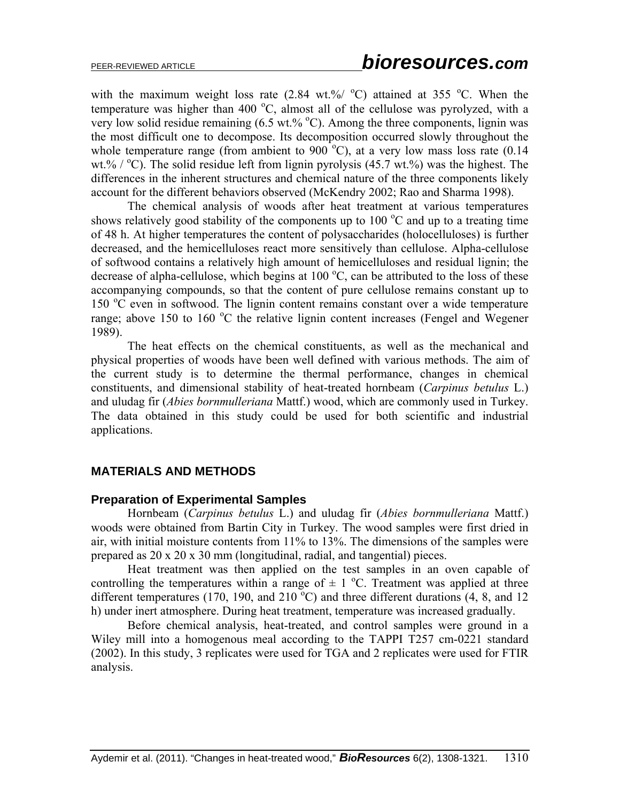with the maximum weight loss rate  $(2.84 \text{ wt.}\% / \text{°C})$  attained at 355 °C. When the temperature was higher than 400 °C, almost all of the cellulose was pyrolyzed, with a very low solid residue remaining  $(6.5 \text{ wt. % } ^{\circ}\text{C})$ . Among the three components, lignin was the most difficult one to decompose. Its decomposition occurred slowly throughout the whole temperature range (from ambient to  $900^{\circ}$ C), at a very low mass loss rate (0.14 wt.%  $\degree$  C). The solid residue left from lignin pyrolysis (45.7 wt.%) was the highest. The differences in the inherent structures and chemical nature of the three components likely account for the different behaviors observed (McKendry 2002; Rao and Sharma 1998).

The chemical analysis of woods after heat treatment at various temperatures shows relatively good stability of the components up to  $100\degree C$  and up to a treating time of 48 h. At higher temperatures the content of polysaccharides (holocelluloses) is further decreased, and the hemicelluloses react more sensitively than cellulose. Alpha-cellulose of softwood contains a relatively high amount of hemicelluloses and residual lignin; the decrease of alpha-cellulose, which begins at 100 $\degree$ C, can be attributed to the loss of these accompanying compounds, so that the content of pure cellulose remains constant up to 150 °C even in softwood. The lignin content remains constant over a wide temperature range; above 150 to 160  $\degree$ C the relative lignin content increases (Fengel and Wegener 1989).

The heat effects on the chemical constituents, as well as the mechanical and physical properties of woods have been well defined with various methods. The aim of the current study is to determine the thermal performance, changes in chemical constituents, and dimensional stability of heat-treated hornbeam (*Carpinus betulus* L.) and uludag fir (*Abies bornmulleriana* Mattf.) wood, which are commonly used in Turkey. The data obtained in this study could be used for both scientific and industrial applications.

# **MATERIALS AND METHODS**

## **Preparation of Experimental Samples**

Hornbeam (*Carpinus betulus* L.) and uludag fir (*Abies bornmulleriana* Mattf.) woods were obtained from Bartin City in Turkey. The wood samples were first dried in air, with initial moisture contents from 11% to 13%. The dimensions of the samples were prepared as 20 x 20 x 30 mm (longitudinal, radial, and tangential) pieces.

Heat treatment was then applied on the test samples in an oven capable of controlling the temperatures within a range of  $\pm$  1 °C. Treatment was applied at three different temperatures (170, 190, and 210 $\degree$ C) and three different durations (4, 8, and 12 h) under inert atmosphere. During heat treatment, temperature was increased gradually.

Before chemical analysis, heat-treated, and control samples were ground in a Wiley mill into a homogenous meal according to the TAPPI T257 cm-0221 standard (2002). In this study, 3 replicates were used for TGA and 2 replicates were used for FTIR analysis.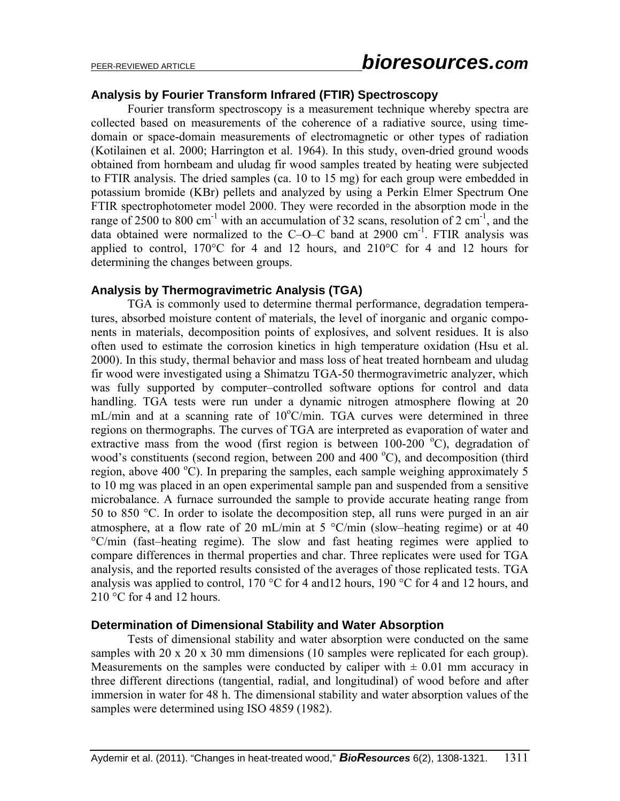## **Analysis by Fourier Transform Infrared (FTIR) Spectroscopy**

Fourier transform spectroscopy is a measurement technique whereby spectra are collected based on measurements of the coherence of a radiative source, using timedomain or space-domain measurements of electromagnetic or other types of radiation (Kotilainen et al. 2000; Harrington et al. 1964). In this study, oven-dried ground woods obtained from hornbeam and uludag fir wood samples treated by heating were subjected to FTIR analysis. The dried samples (ca. 10 to 15 mg) for each group were embedded in potassium bromide (KBr) pellets and analyzed by using a Perkin Elmer Spectrum One FTIR spectrophotometer model 2000. They were recorded in the absorption mode in the range of 2500 to 800 cm<sup>-1</sup> with an accumulation of 32 scans, resolution of 2 cm<sup>-1</sup>, and the data obtained were normalized to the C–O–C band at  $2900 \text{ cm}^{-1}$ . FTIR analysis was applied to control,  $170^{\circ}$ C for 4 and 12 hours, and  $210^{\circ}$ C for 4 and 12 hours for determining the changes between groups.

## **Analysis by Thermogravimetric Analysis (TGA)**

TGA is commonly used to determine thermal performance, degradation temperatures, absorbed moisture content of materials, the level of inorganic and organic components in materials, decomposition points of explosives, and solvent residues. It is also often used to estimate the corrosion kinetics in high temperature oxidation (Hsu et al. 2000). In this study, thermal behavior and mass loss of heat treated hornbeam and uludag fir wood were investigated using a Shimatzu TGA-50 thermogravimetric analyzer, which was fully supported by computer–controlled software options for control and data handling. TGA tests were run under a dynamic nitrogen atmosphere flowing at 20 mL/min and at a scanning rate of 10°C/min. TGA curves were determined in three regions on thermographs. The curves of TGA are interpreted as evaporation of water and extractive mass from the wood (first region is between  $100-200$  °C), degradation of wood's constituents (second region, between 200 and 400  $^{\circ}$ C), and decomposition (third region, above 400  $^{\circ}$ C). In preparing the samples, each sample weighing approximately 5 to 10 mg was placed in an open experimental sample pan and suspended from a sensitive microbalance. A furnace surrounded the sample to provide accurate heating range from 50 to 850 °C. In order to isolate the decomposition step, all runs were purged in an air atmosphere, at a flow rate of 20 mL/min at 5  $\degree$ C/min (slow–heating regime) or at 40 °C/min (fast–heating regime). The slow and fast heating regimes were applied to compare differences in thermal properties and char. Three replicates were used for TGA analysis, and the reported results consisted of the averages of those replicated tests. TGA analysis was applied to control, 170 °C for 4 and12 hours, 190 °C for 4 and 12 hours, and  $210 \degree C$  for 4 and 12 hours.

#### **Determination of Dimensional Stability and Water Absorption**

Tests of dimensional stability and water absorption were conducted on the same samples with 20 x 20 x 30 mm dimensions (10 samples were replicated for each group). Measurements on the samples were conducted by caliper with  $\pm$  0.01 mm accuracy in three different directions (tangential, radial, and longitudinal) of wood before and after immersion in water for 48 h. The dimensional stability and water absorption values of the samples were determined using ISO 4859 (1982).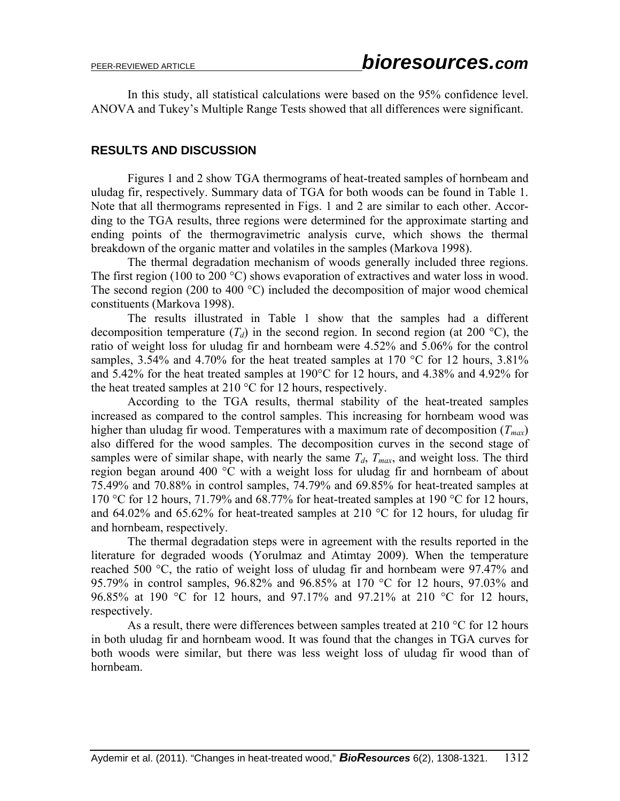In this study, all statistical calculations were based on the 95% confidence level. ANOVA and Tukey's Multiple Range Tests showed that all differences were significant.

## **RESULTS AND DISCUSSION**

Figures 1 and 2 show TGA thermograms of heat-treated samples of hornbeam and uludag fir, respectively. Summary data of TGA for both woods can be found in Table 1. Note that all thermograms represented in Figs. 1 and 2 are similar to each other. According to the TGA results, three regions were determined for the approximate starting and ending points of the thermogravimetric analysis curve, which shows the thermal breakdown of the organic matter and volatiles in the samples (Markova 1998).

The thermal degradation mechanism of woods generally included three regions. The first region (100 to 200 °C) shows evaporation of extractives and water loss in wood. The second region (200 to 400 °C) included the decomposition of major wood chemical constituents (Markova 1998).

The results illustrated in Table 1 show that the samples had a different decomposition temperature  $(T_d)$  in the second region. In second region (at 200 °C), the ratio of weight loss for uludag fir and hornbeam were 4.52% and 5.06% for the control samples, 3.54% and 4.70% for the heat treated samples at 170 °C for 12 hours, 3.81% and 5.42% for the heat treated samples at 190°C for 12 hours, and 4.38% and 4.92% for the heat treated samples at 210 °C for 12 hours, respectively.

According to the TGA results, thermal stability of the heat-treated samples increased as compared to the control samples. This increasing for hornbeam wood was higher than uludag fir wood. Temperatures with a maximum rate of decomposition  $(T_{max})$ also differed for the wood samples. The decomposition curves in the second stage of samples were of similar shape, with nearly the same  $T_d$ ,  $T_{max}$ , and weight loss. The third region began around 400 °C with a weight loss for uludag fir and hornbeam of about 75.49% and 70.88% in control samples, 74.79% and 69.85% for heat-treated samples at 170 °C for 12 hours, 71.79% and 68.77% for heat-treated samples at 190 °C for 12 hours, and 64.02% and 65.62% for heat-treated samples at 210  $\degree$ C for 12 hours, for uludag fir and hornbeam, respectively.

The thermal degradation steps were in agreement with the results reported in the literature for degraded woods (Yorulmaz and Atimtay 2009). When the temperature reached 500 °C, the ratio of weight loss of uludag fir and hornbeam were 97.47% and 95.79% in control samples, 96.82% and 96.85% at 170 °C for 12 hours, 97.03% and 96.85% at 190 °C for 12 hours, and 97.17% and 97.21% at 210 °C for 12 hours, respectively.

As a result, there were differences between samples treated at 210  $\degree$ C for 12 hours in both uludag fir and hornbeam wood. It was found that the changes in TGA curves for both woods were similar, but there was less weight loss of uludag fir wood than of hornbeam.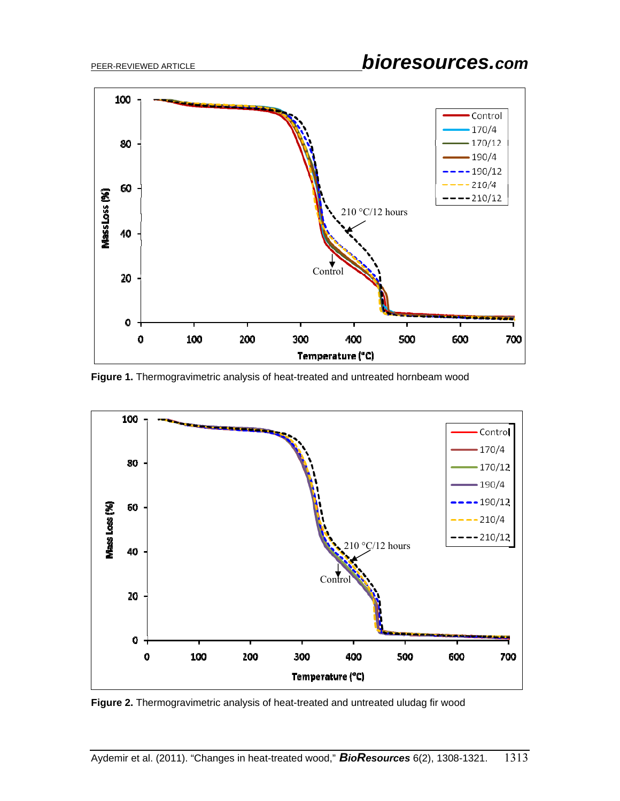

**Figure 1.** Thermogravimetric analysis of heat-treated and untreated hornbeam wood



**Figure 2.** Thermogravimetric analysis of heat-treated and untreated uludag fir wood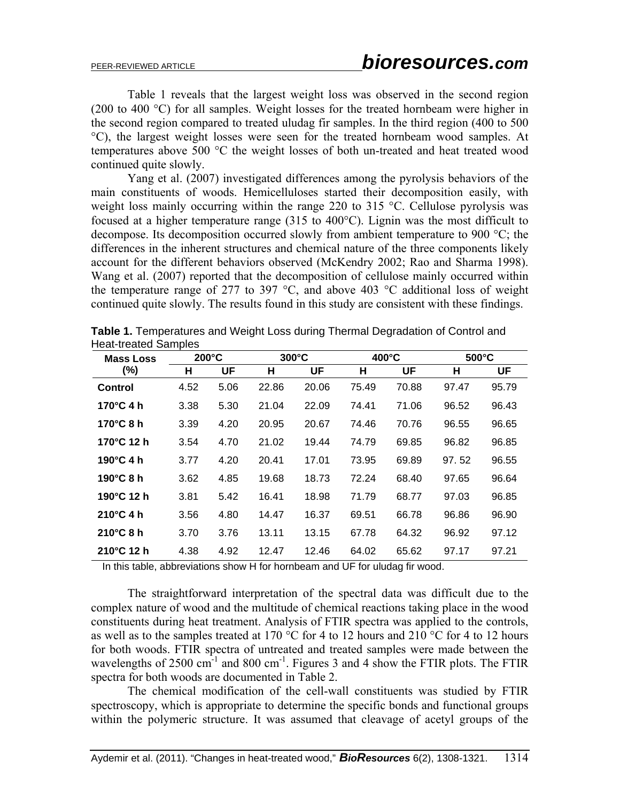Table 1 reveals that the largest weight loss was observed in the second region (200 to 400 °C) for all samples. Weight losses for the treated hornbeam were higher in the second region compared to treated uludag fir samples. In the third region (400 to 500 °C), the largest weight losses were seen for the treated hornbeam wood samples. At temperatures above 500 °C the weight losses of both un-treated and heat treated wood continued quite slowly.

Yang et al. (2007) investigated differences among the pyrolysis behaviors of the main constituents of woods. Hemicelluloses started their decomposition easily, with weight loss mainly occurring within the range 220 to 315 °C. Cellulose pyrolysis was focused at a higher temperature range (315 to 400°C). Lignin was the most difficult to decompose. Its decomposition occurred slowly from ambient temperature to 900 °C; the differences in the inherent structures and chemical nature of the three components likely account for the different behaviors observed (McKendry 2002; Rao and Sharma 1998). Wang et al. (2007) reported that the decomposition of cellulose mainly occurred within the temperature range of 277 to 397  $^{\circ}$ C, and above 403  $^{\circ}$ C additional loss of weight continued quite slowly. The results found in this study are consistent with these findings.

| <b>Mass Loss</b>    | $200^{\circ}$ C |      | $300^{\circ}$ C |       | $400^{\circ}$ C |       | $500^{\circ}$ C |       |
|---------------------|-----------------|------|-----------------|-------|-----------------|-------|-----------------|-------|
| (%)                 | н               | UF   | н               | UF    | н               | UF    | Н               | UF    |
| Control             | 4.52            | 5.06 | 22.86           | 20.06 | 75.49           | 70.88 | 97.47           | 95.79 |
| $170^{\circ}$ C 4 h | 3.38            | 5.30 | 21.04           | 22.09 | 74.41           | 71.06 | 96.52           | 96.43 |
| 170°C 8 h           | 3.39            | 4.20 | 20.95           | 20.67 | 74.46           | 70.76 | 96.55           | 96.65 |
| 170°C 12 h          | 3.54            | 4.70 | 21.02           | 19.44 | 74.79           | 69.85 | 96.82           | 96.85 |
| 190°C 4 h           | 3.77            | 4.20 | 20.41           | 17.01 | 73.95           | 69.89 | 97.52           | 96.55 |
| $190^\circ$ C 8 h   | 3.62            | 4.85 | 19.68           | 18.73 | 72.24           | 68.40 | 97.65           | 96.64 |
| 190°C 12 h          | 3.81            | 5.42 | 16.41           | 18.98 | 71.79           | 68.77 | 97.03           | 96.85 |
| $210^{\circ}$ C 4 h | 3.56            | 4.80 | 14.47           | 16.37 | 69.51           | 66.78 | 96.86           | 96.90 |
| $210^{\circ}$ C 8 h | 3.70            | 3.76 | 13.11           | 13.15 | 67.78           | 64.32 | 96.92           | 97.12 |
| 210°C 12 h          | 4.38            | 4.92 | 12.47           | 12.46 | 64.02           | 65.62 | 97.17           | 97.21 |

|                             | <b>Table 1.</b> Temperatures and Weight Loss during Thermal Degradation of Control and |  |  |
|-----------------------------|----------------------------------------------------------------------------------------|--|--|
| <b>Heat-treated Samples</b> |                                                                                        |  |  |

In this table, abbreviations show H for hornbeam and UF for uludag fir wood.

The straightforward interpretation of the spectral data was difficult due to the complex nature of wood and the multitude of chemical reactions taking place in the wood constituents during heat treatment. Analysis of FTIR spectra was applied to the controls, as well as to the samples treated at 170  $\degree$ C for 4 to 12 hours and 210  $\degree$ C for 4 to 12 hours for both woods. FTIR spectra of untreated and treated samples were made between the wavelengths of 2500 cm<sup>-1</sup> and 800 cm<sup>-1</sup>. Figures 3 and 4 show the FTIR plots. The FTIR spectra for both woods are documented in Table 2.

The chemical modification of the cell-wall constituents was studied by FTIR spectroscopy, which is appropriate to determine the specific bonds and functional groups within the polymeric structure. It was assumed that cleavage of acetyl groups of the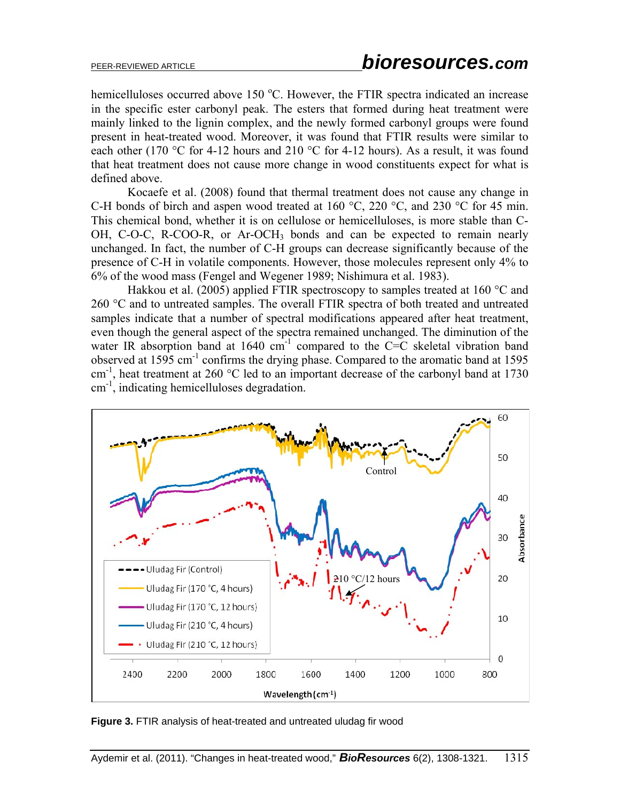hemicelluloses occurred above 150 °C. However, the FTIR spectra indicated an increase in the specific ester carbonyl peak. The esters that formed during heat treatment were mainly linked to the lignin complex, and the newly formed carbonyl groups were found present in heat-treated wood. Moreover, it was found that FTIR results were similar to each other (170 °C for 4-12 hours and 210 °C for 4-12 hours). As a result, it was found that heat treatment does not cause more change in wood constituents expect for what is defined above.

Kocaefe et al. (2008) found that thermal treatment does not cause any change in C-H bonds of birch and aspen wood treated at 160 °C, 220 °C, and 230 °C for 45 min. This chemical bond, whether it is on cellulose or hemicelluloses, is more stable than C-OH, C-O-C, R-COO-R, or Ar-OCH<sub>3</sub> bonds and can be expected to remain nearly unchanged. In fact, the number of C-H groups can decrease significantly because of the presence of C-H in volatile components. However, those molecules represent only 4% to 6% of the wood mass (Fengel and Wegener 1989; Nishimura et al. 1983).

Hakkou et al. (2005) applied FTIR spectroscopy to samples treated at 160 °C and 260 °C and to untreated samples. The overall FTIR spectra of both treated and untreated samples indicate that a number of spectral modifications appeared after heat treatment, even though the general aspect of the spectra remained unchanged. The diminution of the water IR absorption band at 1640  $cm^{-1}$  compared to the C=C skeletal vibration band observed at 1595 cm<sup>-1</sup> confirms the drying phase. Compared to the aromatic band at 1595 cm<sup>-1</sup>, heat treatment at 260 °C led to an important decrease of the carbonyl band at 1730 cm<sup>-1</sup>, indicating hemicelluloses degradation.



**Figure 3.** FTIR analysis of heat-treated and untreated uludag fir wood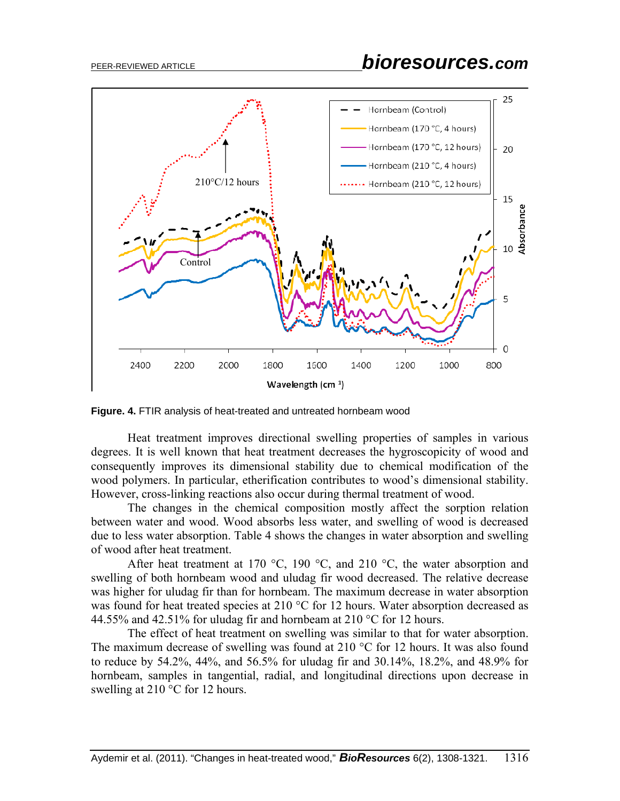

**Figure. 4.** FTIR analysis of heat-treated and untreated hornbeam wood

Heat treatment improves directional swelling properties of samples in various degrees. It is well known that heat treatment decreases the hygroscopicity of wood and consequently improves its dimensional stability due to chemical modification of the wood polymers. In particular, etherification contributes to wood's dimensional stability. However, cross-linking reactions also occur during thermal treatment of wood.

The changes in the chemical composition mostly affect the sorption relation between water and wood. Wood absorbs less water, and swelling of wood is decreased due to less water absorption. Table 4 shows the changes in water absorption and swelling of wood after heat treatment.

After heat treatment at 170 °C, 190 °C, and 210 °C, the water absorption and swelling of both hornbeam wood and uludag fir wood decreased. The relative decrease was higher for uludag fir than for hornbeam. The maximum decrease in water absorption was found for heat treated species at 210 °C for 12 hours. Water absorption decreased as 44.55% and 42.51% for uludag fir and hornbeam at 210  $^{\circ}$ C for 12 hours.

The effect of heat treatment on swelling was similar to that for water absorption. The maximum decrease of swelling was found at 210  $\degree$ C for 12 hours. It was also found to reduce by 54.2%, 44%, and 56.5% for uludag fir and 30.14%, 18.2%, and 48.9% for hornbeam, samples in tangential, radial, and longitudinal directions upon decrease in swelling at 210 °C for 12 hours.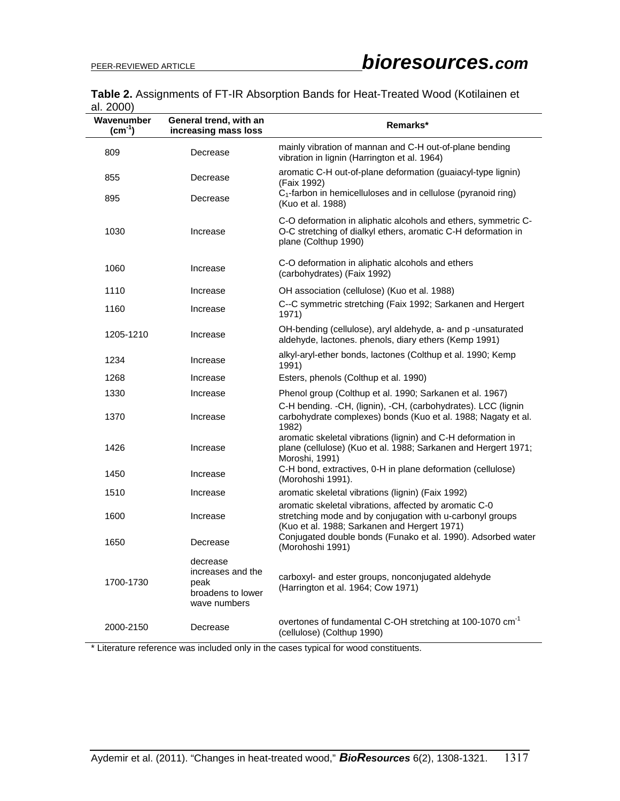## **Table 2.** Assignments of FT-IR Absorption Bands for Heat-Treated Wood (Kotilainen et al. 2000)

| ----<br>Wavenumber<br>$(cm^{-1})$ | General trend, with an<br>increasing mass loss                             | Remarks*                                                                                                                                                            |
|-----------------------------------|----------------------------------------------------------------------------|---------------------------------------------------------------------------------------------------------------------------------------------------------------------|
| 809                               | Decrease                                                                   | mainly vibration of mannan and C-H out-of-plane bending<br>vibration in lignin (Harrington et al. 1964)                                                             |
| 855                               | Decrease                                                                   | aromatic C-H out-of-plane deformation (guaiacyl-type lignin)<br>(Faix 1992)                                                                                         |
| 895                               | Decrease                                                                   | C <sub>1</sub> -farbon in hemicelluloses and in cellulose (pyranoid ring)<br>(Kuo et al. 1988)                                                                      |
| 1030                              | Increase                                                                   | C-O deformation in aliphatic alcohols and ethers, symmetric C-<br>O-C stretching of dialkyl ethers, aromatic C-H deformation in<br>plane (Colthup 1990)             |
| 1060                              | Increase                                                                   | C-O deformation in aliphatic alcohols and ethers<br>(carbohydrates) (Faix 1992)                                                                                     |
| 1110                              | Increase                                                                   | OH association (cellulose) (Kuo et al. 1988)                                                                                                                        |
| 1160                              | Increase                                                                   | C--C symmetric stretching (Faix 1992; Sarkanen and Hergert<br>1971)                                                                                                 |
| 1205-1210                         | Increase                                                                   | OH-bending (cellulose), aryl aldehyde, a- and p -unsaturated<br>aldehyde, lactones. phenols, diary ethers (Kemp 1991)                                               |
| 1234                              | Increase                                                                   | alkyl-aryl-ether bonds, lactones (Colthup et al. 1990; Kemp<br>1991)                                                                                                |
| 1268                              | Increase                                                                   | Esters, phenols (Colthup et al. 1990)                                                                                                                               |
| 1330                              | Increase                                                                   | Phenol group (Colthup et al. 1990; Sarkanen et al. 1967)                                                                                                            |
| 1370                              | Increase                                                                   | C-H bending. -CH, (lignin), -CH, (carbohydrates). LCC (lignin<br>carbohydrate complexes) bonds (Kuo et al. 1988; Nagaty et al.<br>1982)                             |
| 1426                              | Increase                                                                   | aromatic skeletal vibrations (lignin) and C-H deformation in<br>plane (cellulose) (Kuo et al. 1988; Sarkanen and Hergert 1971;<br>Moroshi, 1991)                    |
| 1450                              | Increase                                                                   | C-H bond, extractives, 0-H in plane deformation (cellulose)<br>(Morohoshi 1991).                                                                                    |
| 1510                              | Increase                                                                   | aromatic skeletal vibrations (lignin) (Faix 1992)                                                                                                                   |
| 1600                              | Increase                                                                   | aromatic skeletal vibrations, affected by aromatic C-0<br>stretching mode and by conjugation with u-carbonyl groups<br>(Kuo et al. 1988; Sarkanen and Hergert 1971) |
| 1650                              | Decrease                                                                   | Conjugated double bonds (Funako et al. 1990). Adsorbed water<br>(Morohoshi 1991)                                                                                    |
| 1700-1730                         | decrease<br>increases and the<br>peak<br>broadens to lower<br>wave numbers | carboxyl- and ester groups, nonconjugated aldehyde<br>(Harrington et al. 1964; Cow 1971)                                                                            |
| 2000-2150                         | Decrease                                                                   | overtones of fundamental C-OH stretching at 100-1070 cm <sup>-1</sup><br>(cellulose) (Colthup 1990)                                                                 |

\* Literature reference was included only in the cases typical for wood constituents.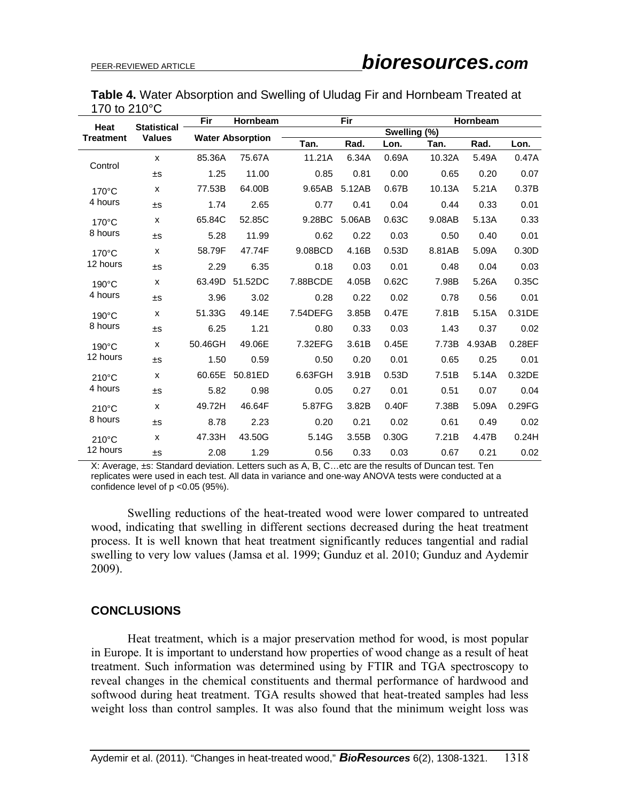|                        | Table 4. Water Absorption and Swelling of Uludag Fir and Hornbeam Treated at |  |  |
|------------------------|------------------------------------------------------------------------------|--|--|
| 170 to $210^{\circ}$ C |                                                                              |  |  |

| Heat<br><b>Treatment</b>    |                                     | Fir     | Hornbeam                |          | Fir          |       |        | Hornbeam |        |  |
|-----------------------------|-------------------------------------|---------|-------------------------|----------|--------------|-------|--------|----------|--------|--|
|                             | <b>Statistical</b><br><b>Values</b> |         | <b>Water Absorption</b> |          | Swelling (%) |       |        |          |        |  |
|                             |                                     |         |                         | Tan.     | Rad.         | Lon.  | Tan.   | Rad.     | Lon.   |  |
| Control                     | X                                   | 85.36A  | 75.67A                  | 11.21A   | 6.34A        | 0.69A | 10.32A | 5.49A    | 0.47A  |  |
|                             | ±S                                  | 1.25    | 11.00                   | 0.85     | 0.81         | 0.00  | 0.65   | 0.20     | 0.07   |  |
| $170^{\circ}$ C             | X                                   | 77.53B  | 64.00B                  | 9.65AB   | 5.12AB       | 0.67B | 10.13A | 5.21A    | 0.37B  |  |
| 4 hours                     | ±S                                  | 1.74    | 2.65                    | 0.77     | 0.41         | 0.04  | 0.44   | 0.33     | 0.01   |  |
| $170^{\circ}$ C             | X                                   | 65.84C  | 52.85C                  | 9.28BC   | 5.06AB       | 0.63C | 9.08AB | 5.13A    | 0.33   |  |
| 8 hours                     | ±S                                  | 5.28    | 11.99                   | 0.62     | 0.22         | 0.03  | 0.50   | 0.40     | 0.01   |  |
| $170^{\circ}$ C<br>12 hours | X                                   | 58.79F  | 47.74F                  | 9.08BCD  | 4.16B        | 0.53D | 8.81AB | 5.09A    | 0.30D  |  |
|                             | ±S                                  | 2.29    | 6.35                    | 0.18     | 0.03         | 0.01  | 0.48   | 0.04     | 0.03   |  |
| $190^{\circ}$ C             | X                                   | 63.49D  | 51.52DC                 | 7.88BCDE | 4.05B        | 0.62C | 7.98B  | 5.26A    | 0.35C  |  |
| 4 hours                     | ±S                                  | 3.96    | 3.02                    | 0.28     | 0.22         | 0.02  | 0.78   | 0.56     | 0.01   |  |
| $190^{\circ}$ C             | X                                   | 51.33G  | 49.14E                  | 7.54DEFG | 3.85B        | 0.47E | 7.81B  | 5.15A    | 0.31DE |  |
| 8 hours                     | ±S                                  | 6.25    | 1.21                    | 0.80     | 0.33         | 0.03  | 1.43   | 0.37     | 0.02   |  |
| $190^{\circ}$ C<br>12 hours | X                                   | 50.46GH | 49.06E                  | 7.32EFG  | 3.61B        | 0.45E | 7.73B  | 4.93AB   | 0.28EF |  |
|                             | ±S                                  | 1.50    | 0.59                    | 0.50     | 0.20         | 0.01  | 0.65   | 0.25     | 0.01   |  |
| $210^{\circ}$ C<br>4 hours  | X                                   | 60.65E  | 50.81ED                 | 6.63FGH  | 3.91B        | 0.53D | 7.51B  | 5.14A    | 0.32DE |  |
|                             | ±S                                  | 5.82    | 0.98                    | 0.05     | 0.27         | 0.01  | 0.51   | 0.07     | 0.04   |  |
| 210°C<br>8 hours            | X                                   | 49.72H  | 46.64F                  | 5.87FG   | 3.82B        | 0.40F | 7.38B  | 5.09A    | 0.29FG |  |
|                             | ±S                                  | 8.78    | 2.23                    | 0.20     | 0.21         | 0.02  | 0.61   | 0.49     | 0.02   |  |
| $210^{\circ}$ C<br>12 hours | X                                   | 47.33H  | 43.50G                  | 5.14G    | 3.55B        | 0.30G | 7.21B  | 4.47B    | 0.24H  |  |
|                             | ±S                                  | 2.08    | 1.29                    | 0.56     | 0.33         | 0.03  | 0.67   | 0.21     | 0.02   |  |

X: Average, ±s: Standard deviation. Letters such as A, B, C…etc are the results of Duncan test. Ten replicates were used in each test. All data in variance and one-way ANOVA tests were conducted at a confidence level of p <0.05 (95%).

Swelling reductions of the heat-treated wood were lower compared to untreated wood, indicating that swelling in different sections decreased during the heat treatment process. It is well known that heat treatment significantly reduces tangential and radial swelling to very low values (Jamsa et al. 1999; Gunduz et al. 2010; Gunduz and Aydemir 2009).

# **CONCLUSIONS**

 Heat treatment, which is a major preservation method for wood, is most popular in Europe. It is important to understand how properties of wood change as a result of heat treatment. Such information was determined using by FTIR and TGA spectroscopy to reveal changes in the chemical constituents and thermal performance of hardwood and softwood during heat treatment. TGA results showed that heat-treated samples had less weight loss than control samples. It was also found that the minimum weight loss was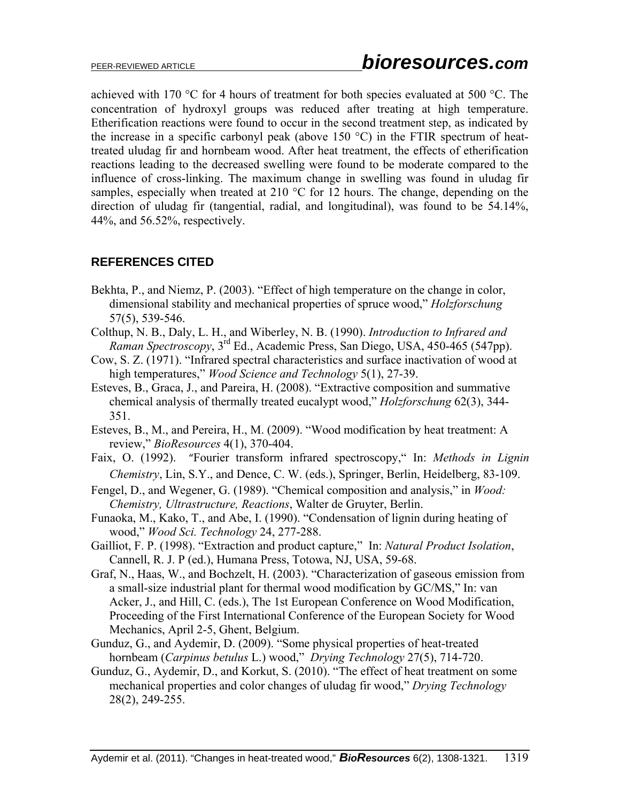achieved with 170 °C for 4 hours of treatment for both species evaluated at 500 °C. The concentration of hydroxyl groups was reduced after treating at high temperature. Etherification reactions were found to occur in the second treatment step, as indicated by the increase in a specific carbonyl peak (above 150  $^{\circ}$ C) in the FTIR spectrum of heattreated uludag fir and hornbeam wood. After heat treatment, the effects of etherification reactions leading to the decreased swelling were found to be moderate compared to the influence of cross-linking. The maximum change in swelling was found in uludag fir samples, especially when treated at 210 °C for 12 hours. The change, depending on the direction of uludag fir (tangential, radial, and longitudinal), was found to be 54.14%, 44%, and 56.52%, respectively.

# **REFERENCES CITED**

- Bekhta, P., and Niemz, P. (2003). "Effect of high temperature on the change in color, dimensional stability and mechanical properties of spruce wood," *Holzforschung* 57(5), 539-546.
- Colthup, N. B., Daly, L. H., and Wiberley, N. B. (1990). *Introduction to Infrared and Raman Spectroscopy*, 3rd Ed., Academic Press, San Diego, USA, 450-465 (547pp).
- Cow, S. Z. (1971). "Infrared spectral characteristics and surface inactivation of wood at high temperatures," *Wood Science and Technology* 5(1), 27-39.
- Esteves, B., Graca, J., and Pareira, H. (2008). "Extractive composition and summative chemical analysis of thermally treated eucalypt wood," *Holzforschung* 62(3), 344- 351.
- Esteves, B., M., and Pereira, H., M. (2009). "Wood modification by heat treatment: A review," *BioResources* 4(1), 370-404.
- Faix, O. (1992). "Fourier transform infrared spectroscopy," In: *Methods in Lignin Chemistry*, Lin, S.Y., and Dence, C. W. (eds.), Springer, Berlin, Heidelberg, 83-109.
- Fengel, D., and Wegener, G. (1989). "Chemical composition and analysis," in *Wood: Chemistry, Ultrastructure, Reactions*, Walter de Gruyter, Berlin.
- Funaoka, M., Kako, T., and Abe, I. (1990). "Condensation of lignin during heating of wood," *Wood Sci. Technology* 24, 277-288.
- Gailliot, F. P. (1998). "Extraction and product capture," In: *Natural Product Isolation*, Cannell, R. J. P (ed.), Humana Press, Totowa, NJ, USA, 59-68.
- Graf, N., Haas, W., and Bochzelt, H. (2003). "Characterization of gaseous emission from a small-size industrial plant for thermal wood modification by GC/MS," In: van Acker, J., and Hill, C. (eds.), The 1st European Conference on Wood Modification, Proceeding of the First International Conference of the European Society for Wood Mechanics, April 2-5, Ghent, Belgium.
- Gunduz, G., and Aydemir, D. (2009). "Some physical properties of heat-treated hornbeam (*Carpinus betulus* L.) wood," *Drying Technology* 27(5), 714-720.
- Gunduz, G., Aydemir, D., and Korkut, S. (2010). "The effect of heat treatment on some mechanical properties and color changes of uludag fir wood," *Drying Technology* 28(2), 249-255.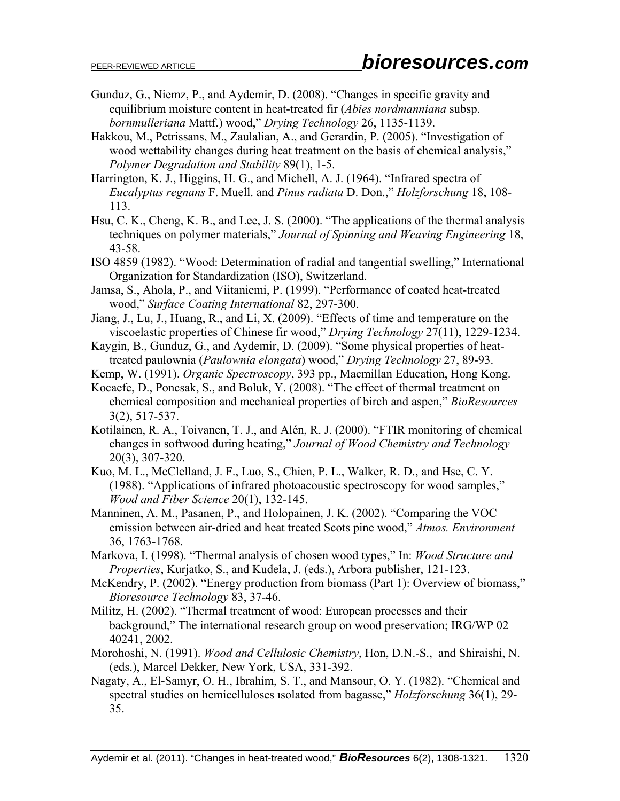- Gunduz, G., Niemz, P., and Aydemir, D. (2008). "Changes in specific gravity and equilibrium moisture content in heat-treated fir (*Abies nordmanniana* subsp. *bornmulleriana* Mattf.) wood," *Drying Technology* 26, 1135-1139.
- Hakkou, M., Petrissans, M., Zaulalian, A., and Gerardin, P. (2005). "Investigation of wood wettability changes during heat treatment on the basis of chemical analysis," *Polymer Degradation and Stability* 89(1), 1-5.
- Harrington, K. J., Higgins, H. G., and Michell, A. J. (1964). "Infrared spectra of *Eucalyptus regnans* F. Muell. and *Pinus radiata* D. Don.," *Holzforschung* 18, 108- 113.
- Hsu, C. K., Cheng, K. B., and Lee, J. S. (2000). "The applications of the thermal analysis techniques on polymer materials," *Journal of Spinning and Weaving Engineering* 18, 43-58.
- ISO 4859 (1982). "Wood: Determination of radial and tangential swelling," International Organization for Standardization (ISO), Switzerland.
- Jamsa, S., Ahola, P., and Viitaniemi, P. (1999). "Performance of coated heat-treated wood," *Surface Coating International* 82, 297-300.
- Jiang, J., Lu, J., Huang, R., and Li, X. (2009). "Effects of time and temperature on the viscoelastic properties of Chinese fir wood," *Drying Technology* 27(11), 1229-1234.

Kaygin, B., Gunduz, G., and Aydemir, D. (2009). "Some physical properties of heattreated paulownia (*Paulownia elongata*) wood," *Drying Technology* 27, 89-93.

- Kemp, W. (1991). *Organic Spectroscopy*, 393 pp., Macmillan Education, Hong Kong.
- Kocaefe, D., Poncsak, S., and Boluk, Y. (2008). "The effect of thermal treatment on chemical composition and mechanical properties of birch and aspen," *BioResources* 3(2), 517-537.
- Kotilainen, R. A., Toivanen, T. J., and Alén, R. J. (2000). "FTIR monitoring of chemical changes in softwood during heating," *Journal of Wood Chemistry and Technology* 20(3), 307-320.
- Kuo, M. L., McClelland, J. F., Luo, S., Chien, P. L., Walker, R. D., and Hse, C. Y. (1988). "Applications of infrared photoacoustic spectroscopy for wood samples," *Wood and Fiber Science* 20(1), 132-145.
- Manninen, A. M., Pasanen, P., and Holopainen, J. K. (2002). "Comparing the VOC emission between air-dried and heat treated Scots pine wood," *Atmos. Environment* 36, 1763-1768.
- Markova, I. (1998). "Thermal analysis of chosen wood types," In: *Wood Structure and Properties*, Kurjatko, S., and Kudela, J. (eds.), Arbora publisher, 121-123.
- McKendry, P. (2002). "Energy production from biomass (Part 1): Overview of biomass," *Bioresource Technology* 83, 37-46.
- Militz, H. (2002). "Thermal treatment of wood: European processes and their background," The international research group on wood preservation; IRG/WP 02– 40241, 2002.
- Morohoshi, N. (1991). *Wood and Cellulosic Chemistry*, Hon, D.N.-S., and Shiraishi, N. (eds.), Marcel Dekker, New York, USA, 331-392.
- Nagaty, A., El-Samyr, O. H., Ibrahim, S. T., and Mansour, O. Y. (1982). "Chemical and spectral studies on hemicelluloses ısolated from bagasse," *Holzforschung* 36(1), 29- 35.